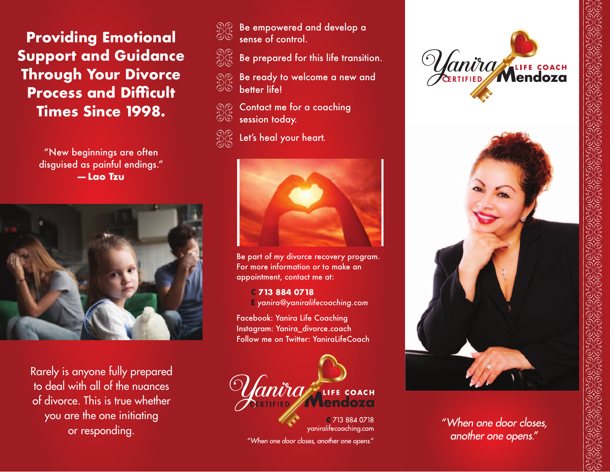**Providing Emotional Support and Guidance Through Your Divorce Process and Difficult Times Since 1998.** 

> "New beginnings are often disguised as painful endings." **— Lao Tzu**



Rarely is anyone fully prepared to deal with all of the nuances of divorce. This is true whether you are the one initiating or responding.



Be empowered and develop a sense of control.

- $\mathbb{Z}_\infty^\infty$  Be prepared for this life transition. any graphics the trim Line, are the very trim Line,  $\alpha$
- **edge Be ready to welcome a new and** better life!
	- Contact me for a coaching session today.
	- Let's heal your heart.



Be part of my divorce recovery program. For more information or to make an appointment, contact me at:

 **C 713 884 0718 <sup>E</sup>** *yanira@yaniralifecoaching.com*

Facebook: Yanira Life Coaching Instagram: Yanira\_divorce.coach Follow me on Twitter: YaniraLifeCoach



yaniralifecoaching.com

"When one door closes, another one opens."





"When one door closes, another one opens."

Trim Line  $\mathcal{A} = \mathcal{A}$  trim size ordered  $\mathcal{B}$